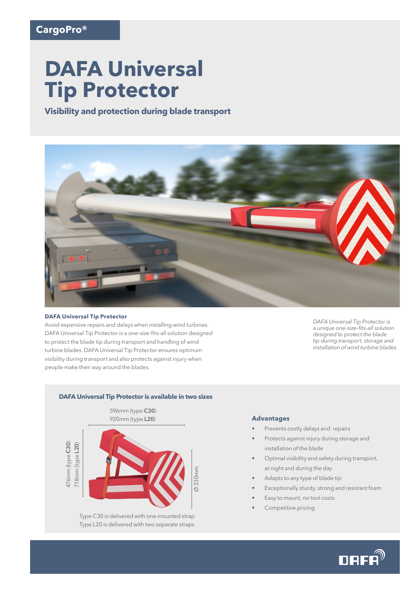# **DAFA Universal Tip Protector**

**Visibility and protection during blade transport**



#### **DAFA Universal Tip Protector**

Avoid expensive repairs and delays when installing wind turbines. DAFA Universal Tip Protector is a one-size-fits-all solution designed to protect the blade tip during transport and handling of wind turbine blades. DAFA Universal Tip Protector ensures optimum visibility during transport and also protects against injury when people make their way around the blades.

*DAFA Universal Tip Protector is*  a unique one-size-fits-all solution *designed to protect the blade tip during transport, storage and installation of wind turbine blades.* 



Type C30 is delivered with one mounted strap Type L20 is delivered with two separate straps

#### **Advantages**

- Prevents costly delays and repairs
- Protects against injury during storage and installation of the blade
- Optimal visibility and safety during transport, at night and during the day
- Adapts to any type of blade tip
- Exceptionally sturdy, strong and resistant foam
- Easy to mount, no tool costs
- Competitive pricing